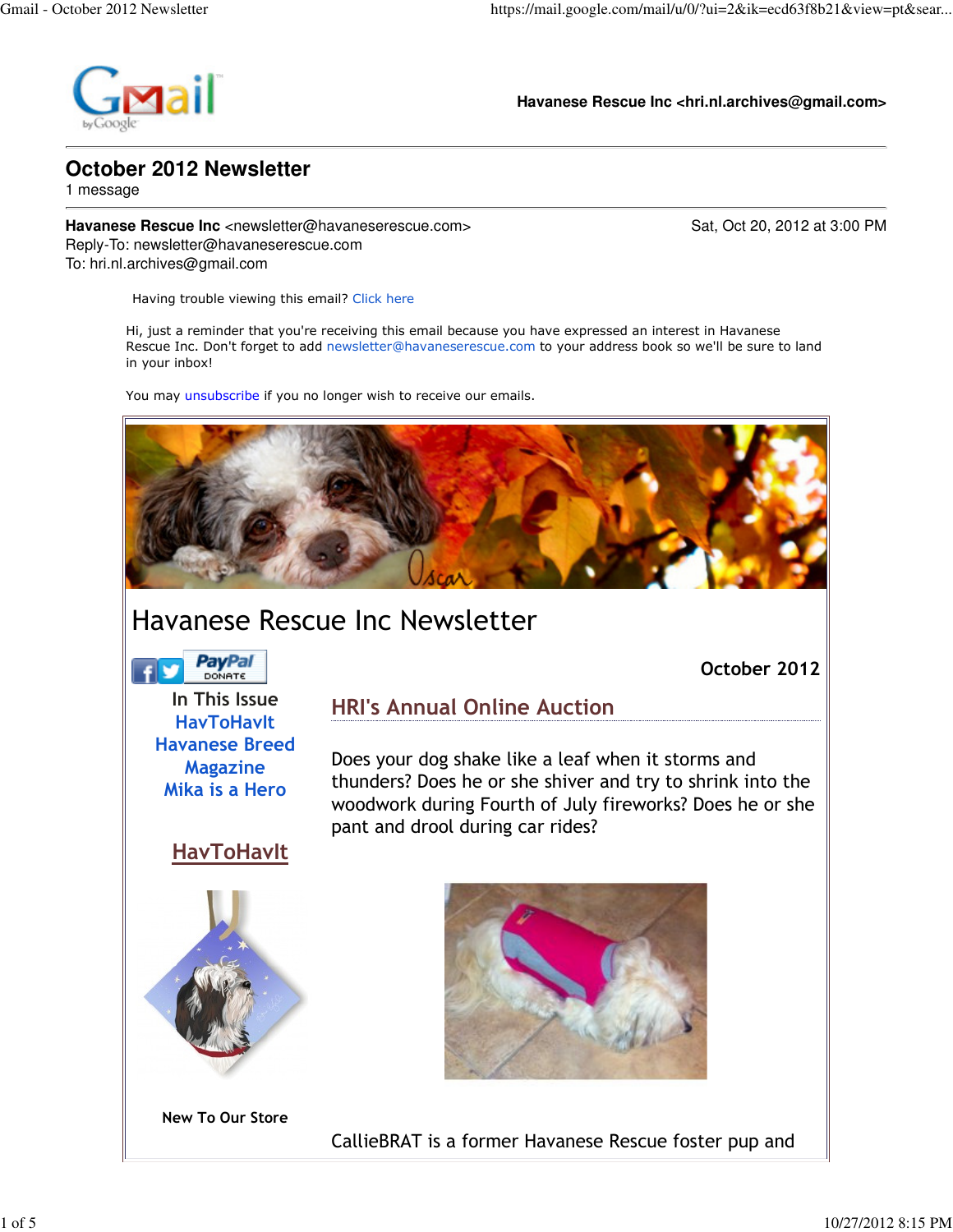

**Havanese Rescue Inc <hri.nl.archives@gmail.com>**

### **October 2012 Newsletter**

1 message

**Havanese Rescue Inc** <newsletter@havaneserescue.com> Sat, Oct 20, 2012 at 3:00 PM Reply-To: newsletter@havaneserescue.com To: hri.nl.archives@gmail.com

Having trouble viewing this email? Click here

Hi, just a reminder that you're receiving this email because you have expressed an interest in Havanese Rescue Inc. Don't forget to add newsletter@havaneserescue.com to your address book so we'll be sure to land in your inbox!

You may unsubscribe if you no longer wish to receive our emails.



# Havanese Rescue Inc Newsletter

**PayPal** 

October 2012

In This Issue **HavToHavIt** Havanese Breed Magazine Mika is a Hero

### HRI's Annual Online Auction

Does your dog shake like a leaf when it storms and thunders? Does he or she shiver and try to shrink into the woodwork during Fourth of July fireworks? Does he or she pant and drool during car rides?

## **HavToHavIt**



New To Our Store



CallieBRAT is a former Havanese Rescue foster pup and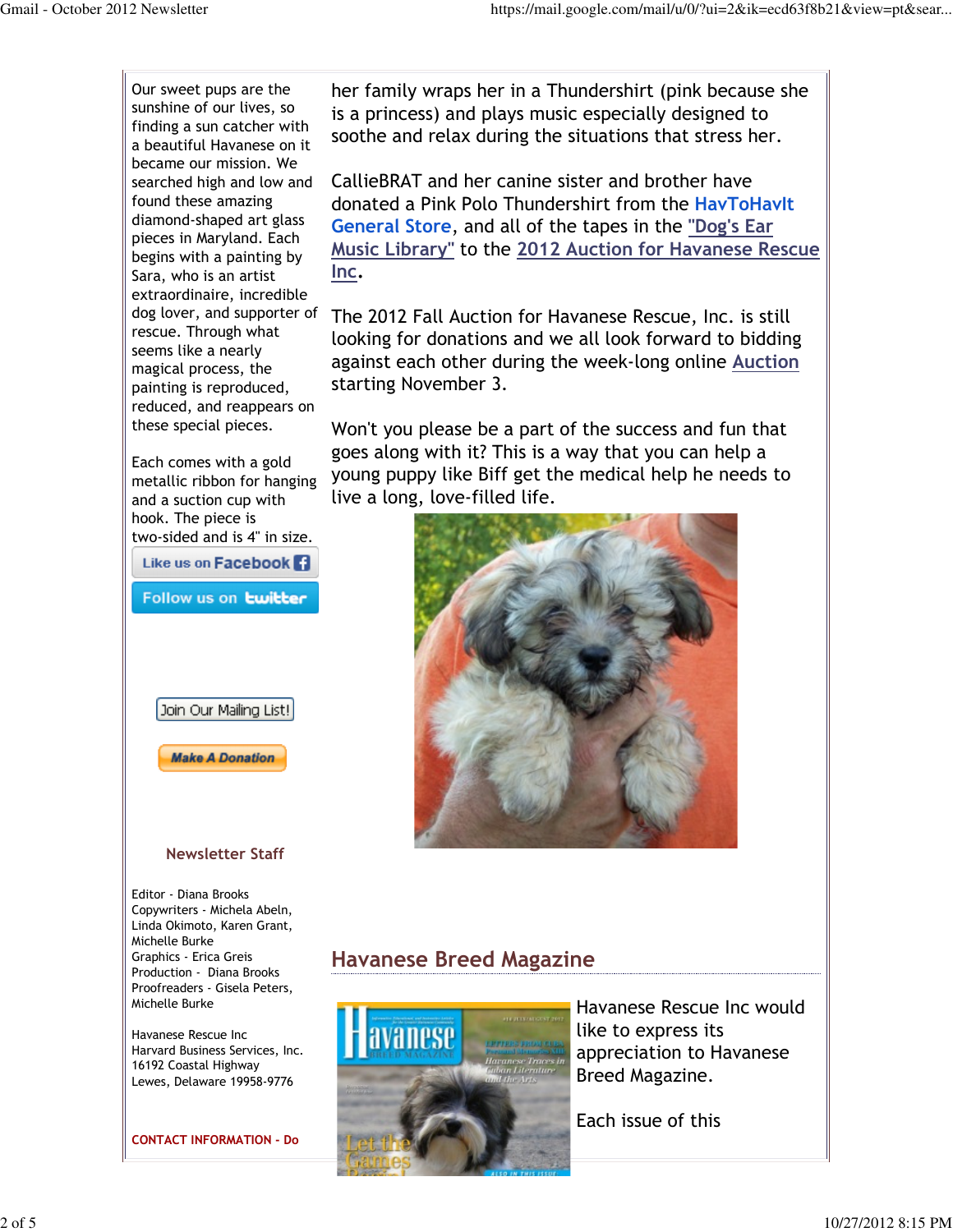Our sweet pups are the sunshine of our lives, so finding a sun catcher with a beautiful Havanese on it became our mission. We searched high and low and found these amazing diamond-shaped art glass pieces in Maryland. Each begins with a painting by Sara, who is an artist extraordinaire, incredible dog lover, and supporter of rescue. Through what seems like a nearly magical process, the painting is reproduced, reduced, and reappears on these special pieces.

Each comes with a gold metallic ribbon for hanging and a suction cup with hook. The piece is two-sided and is 4" in size.

Like us on Facebook<sup>1</sup>

Follow us on **twitter** 



#### Newsletter Staff

Editor - Diana Brooks Copywriters - Michela Abeln, Linda Okimoto, Karen Grant, Michelle Burke Graphics - Erica Greis Production - Diana Brooks Proofreaders - Gisela Peters, Michelle Burke

Havanese Rescue Inc Harvard Business Services, Inc. 16192 Coastal Highway Lewes, Delaware 19958-9776

CONTACT INFORMATION - Do

her family wraps her in a Thundershirt (pink because she is a princess) and plays music especially designed to soothe and relax during the situations that stress her.

CallieBRAT and her canine sister and brother have donated a Pink Polo Thundershirt from the HavToHavIt General Store, and all of the tapes in the "Dog's Ear Music Library" to the 2012 Auction for Havanese Rescue Inc.

The 2012 Fall Auction for Havanese Rescue, Inc. is still looking for donations and we all look forward to bidding against each other during the week-long online Auction starting November 3.

Won't you please be a part of the success and fun that goes along with it? This is a way that you can help a young puppy like Biff get the medical help he needs to live a long, love-filled life.



### Havanese Breed Magazine



Havanese Rescue Inc would like to express its appreciation to Havanese Breed Magazine.

Each issue of this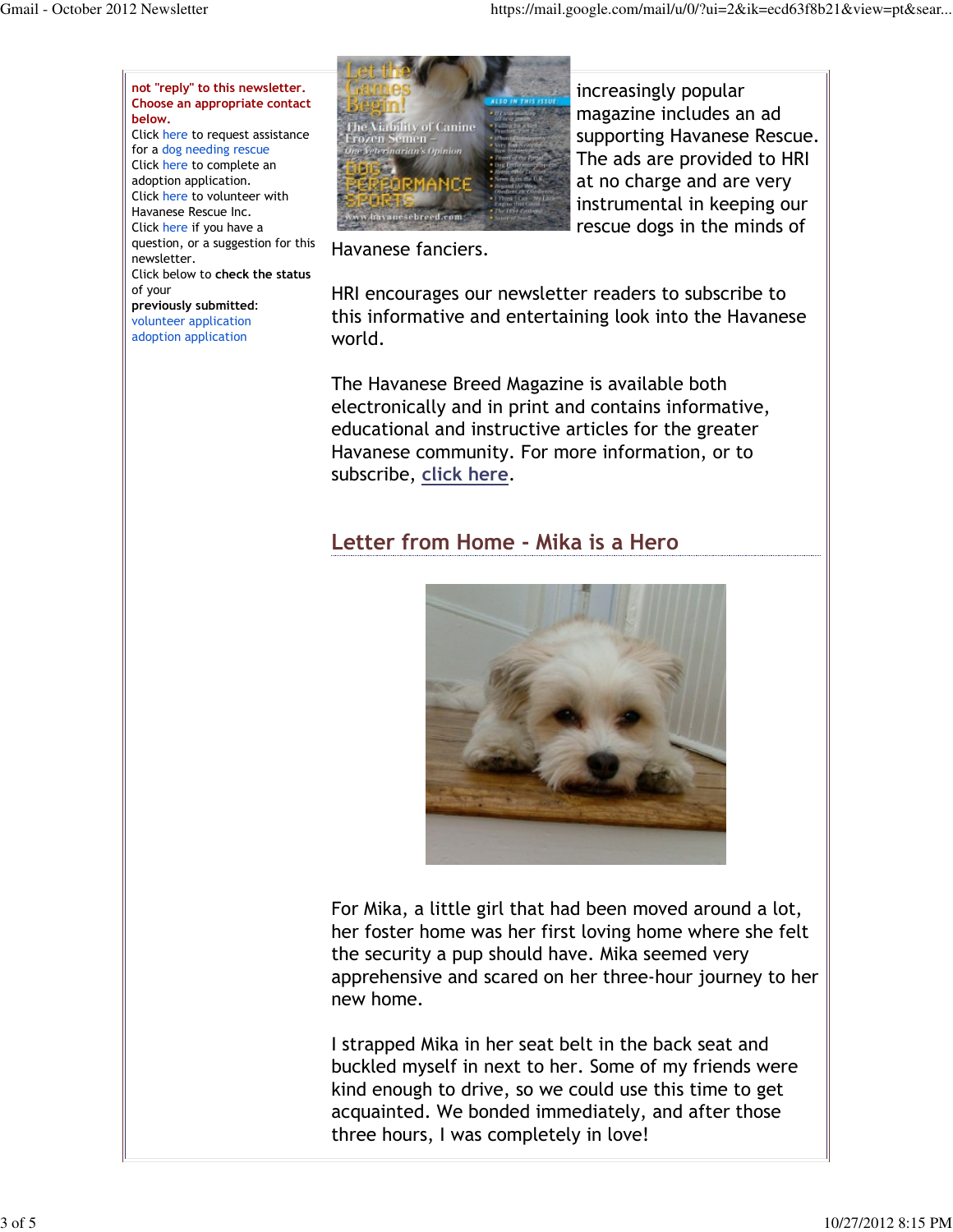not "reply" to this newsletter. Choose an appropriate contact below. Click here to request assistance

for a dog needing rescue Click here to complete an adoption application. Click here to volunteer with Havanese Rescue Inc. Click here if you have a question, or a suggestion for this newsletter. Click below to check the status of your previously submitted: volunteer application adoption application



increasingly popular magazine includes an ad supporting Havanese Rescue. The ads are provided to HRI at no charge and are very instrumental in keeping our rescue dogs in the minds of

Havanese fanciers.

HRI encourages our newsletter readers to subscribe to this informative and entertaining look into the Havanese world.

The Havanese Breed Magazine is available both electronically and in print and contains informative, educational and instructive articles for the greater Havanese community. For more information, or to subscribe, click here.

# Letter from Home - Mika is a Hero



For Mika, a little girl that had been moved around a lot, her foster home was her first loving home where she felt the security a pup should have. Mika seemed very apprehensive and scared on her three-hour journey to her new home.

I strapped Mika in her seat belt in the back seat and buckled myself in next to her. Some of my friends were kind enough to drive, so we could use this time to get acquainted. We bonded immediately, and after those three hours, I was completely in love!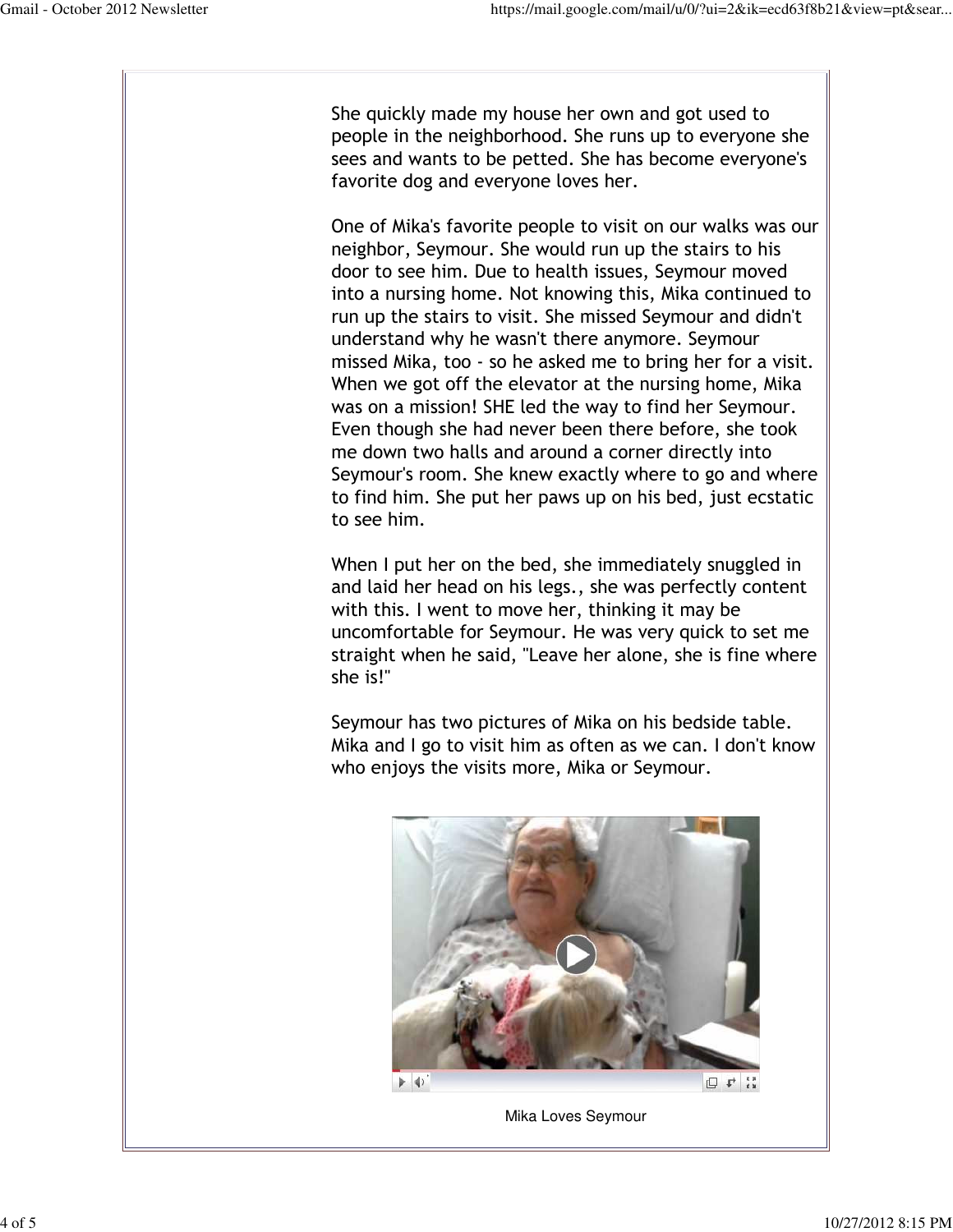She quickly made my house her own and got used to people in the neighborhood. She runs up to everyone she sees and wants to be petted. She has become everyone's favorite dog and everyone loves her.

One of Mika's favorite people to visit on our walks was our neighbor, Seymour. She would run up the stairs to his door to see him. Due to health issues, Seymour moved into a nursing home. Not knowing this, Mika continued to run up the stairs to visit. She missed Seymour and didn't understand why he wasn't there anymore. Seymour missed Mika, too - so he asked me to bring her for a visit. When we got off the elevator at the nursing home, Mika was on a mission! SHE led the way to find her Seymour. Even though she had never been there before, she took me down two halls and around a corner directly into Seymour's room. She knew exactly where to go and where to find him. She put her paws up on his bed, just ecstatic to see him.

When I put her on the bed, she immediately snuggled in and laid her head on his legs., she was perfectly content with this. I went to move her, thinking it may be uncomfortable for Seymour. He was very quick to set me straight when he said, "Leave her alone, she is fine where she is!"

Seymour has two pictures of Mika on his bedside table. Mika and I go to visit him as often as we can. I don't know who enjoys the visits more, Mika or Seymour.



Mika Loves Seymour